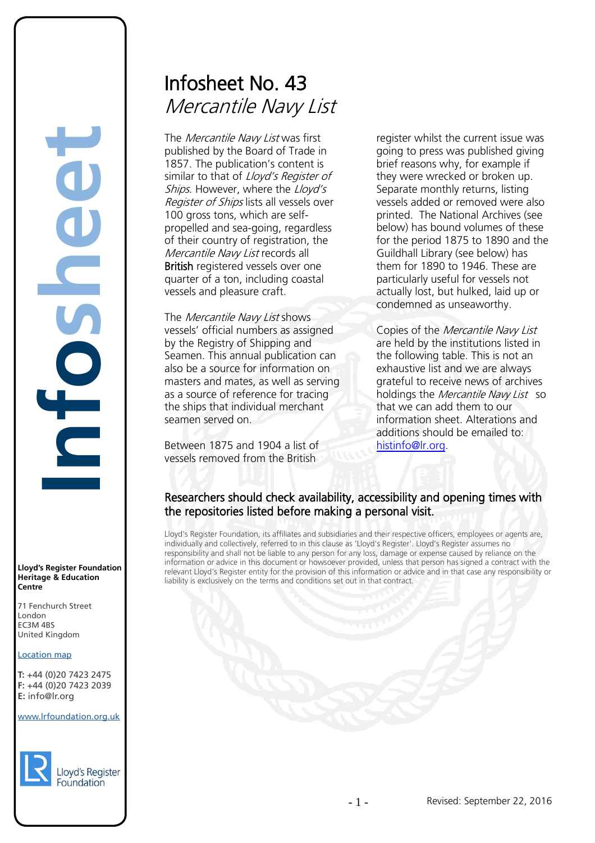# Infosheet No. 43 Mercantile Navy List

The Mercantile Navy List was first published by the Board of Trade in 1857. The publication's content is similar to that of Lloyd's Register of Ships. However, where the Lloyd's Register of Ships lists all vessels over 100 gross tons, which are selfpropelled and sea-going, regardless of their country of registration, the Mercantile Navy List records all British registered vessels over one quarter of a ton, including coastal vessels and pleasure craft.

The *Mercantile Navy List* shows vessels' official numbers as assigned by the Registry of Shipping and Seamen. This annual publication can also be a source for information on masters and mates, as well as serving as a source of reference for tracing the ships that individual merchant seamen served on.

Between 1875 and 1904 a list of vessels removed from the British

register whilst the current issue was going to press was published giving brief reasons why, for example if they were wrecked or broken up. Separate monthly returns, listing vessels added or removed were also printed. The National Archives (see below) has bound volumes of these for the period 1875 to 1890 and the Guildhall Library (see below) has them for 1890 to 1946. These are particularly useful for vessels not actually lost, but hulked, laid up or condemned as unseaworthy.

Copies of the Mercantile Navy List are held by the institutions listed in the following table. This is not an exhaustive list and we are always grateful to receive news of archives holdings the Mercantile Navy List so that we can add them to our information sheet. Alterations and additions should be emailed to: [histinfo@lr.org.](mailto:histinfo@lr.org)

# Researchers should check availability, accessibility and opening times with the repositories listed before making a personal visit.

Lloyd's Register Foundation, its affiliates and subsidiaries and their respective officers, employees or agents are, individually and collectively, referred to in this clause as 'Lloyd's Register'. Lloyd's Register assumes no responsibility and shall not be liable to any person for any loss, damage or expense caused by reliance on the information or advice in this document or howsoever provided, unless that person has signed a contract with the relevant Lloyd's Register entity for the provision of this information or advice and in that case any responsibility or liability is exclusively on the terms and conditions set out in that contract.

**Lloyd's Register Foundation Heritage & Education Centre**

**Infosheet**

E

71 Fenchurch Street London Information Services EC3M 4BS United Kingdom EC3M 4BS

#### Location map

T: +44 (0)20 7423 2475 **F:** +44 (0)20 7423 2039 Fax: +44 (0)20 7423 2039 **E:** info@lr.org  $F \rightarrow (0/20, 1 + 2)$ rd's Register Foundat<br>
itage & Education<br>
tre<br>
Eenchurch Street<br>
don<br>
M 4BS<br>
ted Kingdom<br>
ation map<br>
44 (0)20 7423 2475<br>
44 (0)20 7423 2039<br>
nfo@lr.org

#### www.lrfoundation.org.uk

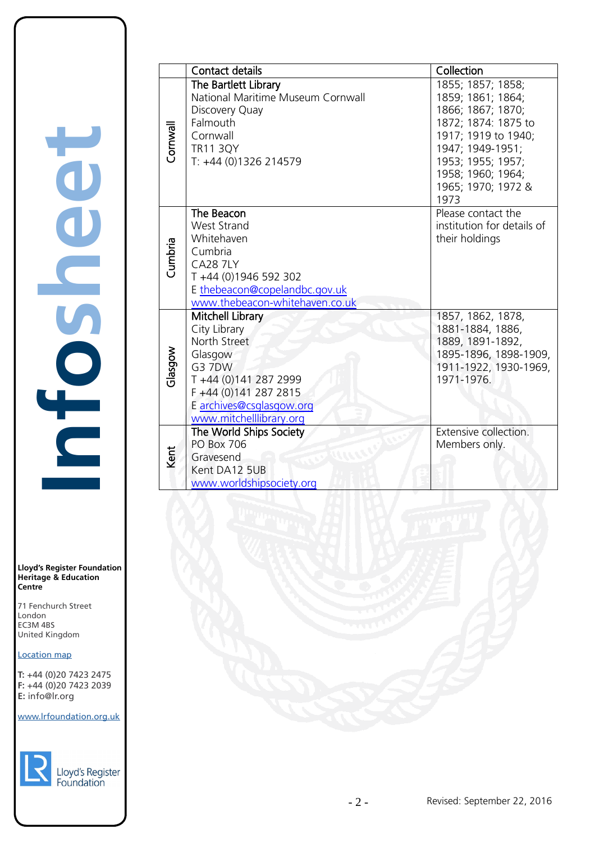**Lloyd's Register Foundation Heritage & Education Centre**

71 Fenchurch Street London EC3M 4BS United Kingdom Information Services EC3M 4BS

## Location map

T: +44 (0)20 7423 2475 **F:** +44 (0)20 7423 2039 Fax: +44 (0)20 7423 2039 **E:** info@lr.org  $F \rightarrow (0/20, 1 + 2)$ 

www.lrfoundation.org.uk



| yd's Register |  |
|---------------|--|
| undation      |  |

|          | <b>Contact details</b>                                                                                                                                                                | Collection                                                                                                                                                                                            |
|----------|---------------------------------------------------------------------------------------------------------------------------------------------------------------------------------------|-------------------------------------------------------------------------------------------------------------------------------------------------------------------------------------------------------|
| Cornwall | The Bartlett Library<br>National Maritime Museum Cornwall<br>Discovery Quay<br>Falmouth<br>Cornwall<br><b>TR11 3QY</b><br>T: +44 (0)1326 214579                                       | 1855; 1857; 1858;<br>1859; 1861; 1864;<br>1866; 1867; 1870;<br>1872; 1874: 1875 to<br>1917; 1919 to 1940;<br>1947; 1949-1951;<br>1953; 1955; 1957;<br>1958; 1960; 1964;<br>1965; 1970; 1972 &<br>1973 |
| Cumbria  | The Beacon<br><b>West Strand</b><br>Whitehaven<br>Cumbria<br><b>CA28 7LY</b><br>T +44 (0)1946 592 302<br>E thebeacon@copelandbc.gov.uk<br>www.thebeacon-whitehaven.co.uk              | Please contact the<br>institution for details of<br>their holdings                                                                                                                                    |
| Glasgow  | Mitchell Library<br>City Library<br>North Street<br>Glasgow<br><b>G3 7DW</b><br>T +44 (0)141 287 2999<br>F +44 (0)141 287 2815<br>E archives@csglasgow.org<br>www.mitchelllibrary.org | 1857, 1862, 1878,<br>1881-1884, 1886,<br>1889, 1891-1892,<br>1895-1896, 1898-1909,<br>1911-1922, 1930-1969,<br>1971-1976.                                                                             |
| Kent     | The World Ships Society<br><b>PO Box 706</b><br>Gravesend<br>Kent DA12 5UB<br>www.worldshipsociety.org                                                                                | Extensive collection.<br>Members only.                                                                                                                                                                |